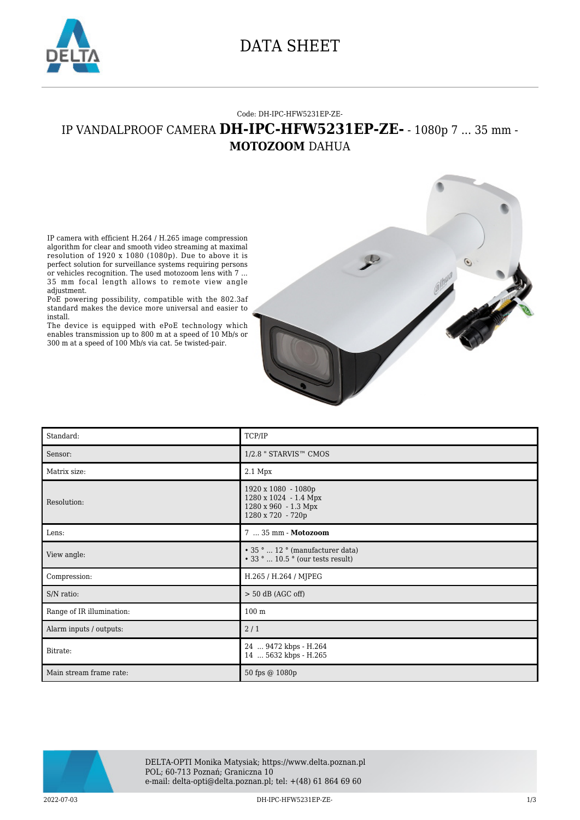

### DATA SHEET

#### Code: DH-IPC-HFW5231EP-ZE-

### IP VANDALPROOF CAMERA **DH-IPC-HFW5231EP-ZE-** - 1080p 7 ... 35 mm - **MOTOZOOM** DAHUA

IP camera with efficient H.264 / H.265 image compression algorithm for clear and smooth video streaming at maximal resolution of 1920 x 1080 (1080p). Due to above it is perfect solution for surveillance systems requiring persons or vehicles recognition. The used motozoom lens with 7 ... 35 mm focal length allows to remote view angle adjustment.

PoE powering possibility, compatible with the 802.3af standard makes the device more universal and easier to install.

The device is equipped with ePoE technology which enables transmission up to 800 m at a speed of 10 Mb/s or 300 m at a speed of 100 Mb/s via cat. 5e twisted-pair.



| Standard:                 | TCP/IP                                                                                    |
|---------------------------|-------------------------------------------------------------------------------------------|
| Sensor:                   | 1/2.8 " STARVIS™ CMOS                                                                     |
| Matrix size:              | $2.1$ Mpx                                                                                 |
| Resolution:               | 1920 x 1080 - 1080p<br>1280 x 1024 - 1.4 Mpx<br>1280 x 960 - 1.3 Mpx<br>1280 x 720 - 720p |
| Lens:                     | 7  35 mm - Motozoom                                                                       |
| View angle:               | • 35°  12° (manufacturer data)<br>$\cdot$ 33 °  10.5 ° (our tests result)                 |
| Compression:              | H.265 / H.264 / MJPEG                                                                     |
| S/N ratio:                | $> 50$ dB (AGC off)                                                                       |
| Range of IR illumination: | 100 <sub>m</sub>                                                                          |
| Alarm inputs / outputs:   | 2/1                                                                                       |
| Bitrate:                  | 24  9472 kbps - H.264<br>14  5632 kbps - H.265                                            |
| Main stream frame rate:   | 50 fps @ 1080p                                                                            |



2022-07-03 DH-IPC-HFW5231EP-ZE- 1/3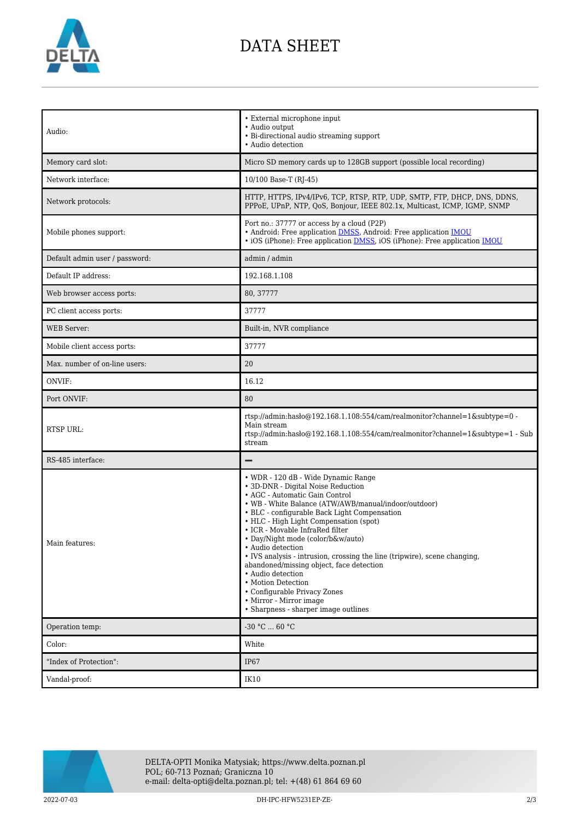

# DATA SHEET

| Audio:                         | • External microphone input<br>• Audio output<br>• Bi-directional audio streaming support<br>• Audio detection                                                                                                                                                                                                                                                                                                                                                                                                                                                                                                                    |
|--------------------------------|-----------------------------------------------------------------------------------------------------------------------------------------------------------------------------------------------------------------------------------------------------------------------------------------------------------------------------------------------------------------------------------------------------------------------------------------------------------------------------------------------------------------------------------------------------------------------------------------------------------------------------------|
| Memory card slot:              | Micro SD memory cards up to 128GB support (possible local recording)                                                                                                                                                                                                                                                                                                                                                                                                                                                                                                                                                              |
| Network interface:             | 10/100 Base-T (RJ-45)                                                                                                                                                                                                                                                                                                                                                                                                                                                                                                                                                                                                             |
| Network protocols:             | HTTP, HTTPS, IPv4/IPv6, TCP, RTSP, RTP, UDP, SMTP, FTP, DHCP, DNS, DDNS,<br>PPPoE, UPnP, NTP, QoS, Bonjour, IEEE 802.1x, Multicast, ICMP, IGMP, SNMP                                                                                                                                                                                                                                                                                                                                                                                                                                                                              |
| Mobile phones support:         | Port no.: 37777 or access by a cloud (P2P)<br>• Android: Free application <b>DMSS</b> , Android: Free application <b>IMOU</b><br>• iOS (iPhone): Free application <b>DMSS</b> , iOS (iPhone): Free application <b>IMOU</b>                                                                                                                                                                                                                                                                                                                                                                                                        |
| Default admin user / password: | admin / admin                                                                                                                                                                                                                                                                                                                                                                                                                                                                                                                                                                                                                     |
| Default IP address:            | 192.168.1.108                                                                                                                                                                                                                                                                                                                                                                                                                                                                                                                                                                                                                     |
| Web browser access ports:      | 80, 37777                                                                                                                                                                                                                                                                                                                                                                                                                                                                                                                                                                                                                         |
| PC client access ports:        | 37777                                                                                                                                                                                                                                                                                                                                                                                                                                                                                                                                                                                                                             |
| <b>WEB</b> Server:             | Built-in, NVR compliance                                                                                                                                                                                                                                                                                                                                                                                                                                                                                                                                                                                                          |
| Mobile client access ports:    | 37777                                                                                                                                                                                                                                                                                                                                                                                                                                                                                                                                                                                                                             |
| Max. number of on-line users:  | 20                                                                                                                                                                                                                                                                                                                                                                                                                                                                                                                                                                                                                                |
| ONVIF:                         | 16.12                                                                                                                                                                                                                                                                                                                                                                                                                                                                                                                                                                                                                             |
| Port ONVIF:                    | 80                                                                                                                                                                                                                                                                                                                                                                                                                                                                                                                                                                                                                                |
| <b>RTSP URL:</b>               | rtsp://admin:hasło@192.168.1.108:554/cam/realmonitor?channel=1&subtype=0 -<br>Main stream<br>rtsp://admin:haslo $@192.168.1.108.554/cam/realmonitor?channel=1$ &subtype=1 - Sub<br>stream                                                                                                                                                                                                                                                                                                                                                                                                                                         |
| RS-485 interface:              |                                                                                                                                                                                                                                                                                                                                                                                                                                                                                                                                                                                                                                   |
| Main features:                 | • WDR - 120 dB - Wide Dynamic Range<br>• 3D-DNR - Digital Noise Reduction<br>• AGC - Automatic Gain Control<br>• WB - White Balance (ATW/AWB/manual/indoor/outdoor)<br>• BLC - configurable Back Light Compensation<br>• HLC - High Light Compensation (spot)<br>• ICR - Movable InfraRed filter<br>• Day/Night mode (color/b&w/auto)<br>· Audio detection<br>• IVS analysis - intrusion, crossing the line (tripwire), scene changing,<br>abandoned/missing object, face detection<br>• Audio detection<br>• Motion Detection<br>• Configurable Privacy Zones<br>• Mirror - Mirror image<br>• Sharpness - sharper image outlines |
|                                |                                                                                                                                                                                                                                                                                                                                                                                                                                                                                                                                                                                                                                   |
| Operation temp:                | $-30 °C  60 °C$                                                                                                                                                                                                                                                                                                                                                                                                                                                                                                                                                                                                                   |
| Color:                         | White                                                                                                                                                                                                                                                                                                                                                                                                                                                                                                                                                                                                                             |
| "Index of Protection":         | IP67                                                                                                                                                                                                                                                                                                                                                                                                                                                                                                                                                                                                                              |